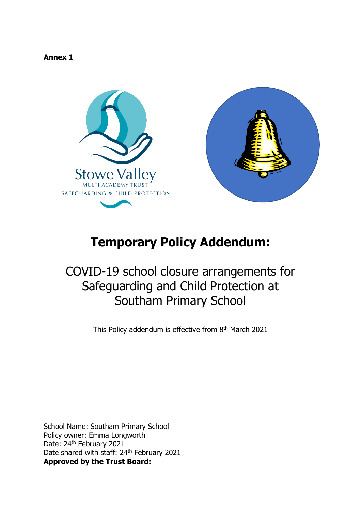#### **Annex 1**



# **Temporary Policy Addendum:**

# COVID-19 school closure arrangements for Safeguarding and Child Protection at Southam Primary School

This Policy addendum is effective from 8<sup>th</sup> March 2021

School Name: Southam Primary School Policy owner: Emma Longworth Date: 24<sup>th</sup> February 2021 Date shared with staff: 24<sup>th</sup> February 2021 **Approved by the Trust Board:**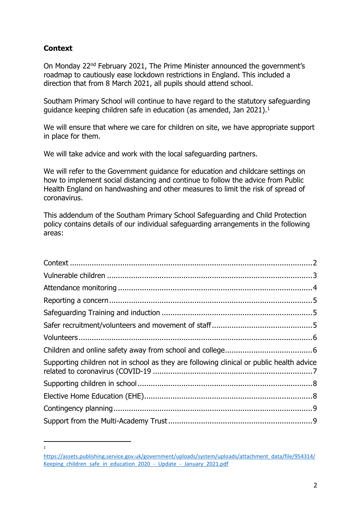# <span id="page-1-0"></span>**Context**

1

On Monday 22nd February 2021, The Prime Minister announced the government's roadmap to cautiously ease lockdown restrictions in England. This included a direction that from 8 March 2021, all pupils should attend school.

Southam Primary School will continue to have regard to the statutory safeguarding guidance keeping children safe in education (as amended, Jan 2021).<sup>1</sup>

We will ensure that where we care for children on site, we have appropriate support in place for them.

We will take advice and work with the local safeguarding partners.

We will refer to the Government guidance for education and childcare settings on how to implement social distancing and continue to follow the advice from Public Health England on handwashing and other measures to limit the risk of spread of coronavirus.

This addendum of the Southam Primary School Safeguarding and Child Protection policy contains details of our individual safeguarding arrangements in the following areas:

| Supporting children not in school as they are following clinical or public health advice |  |
|------------------------------------------------------------------------------------------|--|
|                                                                                          |  |
|                                                                                          |  |
|                                                                                          |  |
|                                                                                          |  |

[https://assets.publishing.service.gov.uk/government/uploads/system/uploads/attachment\\_data/file/954314/](https://assets.publishing.service.gov.uk/government/uploads/system/uploads/attachment_data/file/954314/Keeping_children_safe_in_education_2020_-_Update_-_January_2021.pdf) Keeping children safe in education 2020 - Update - January 2021.pdf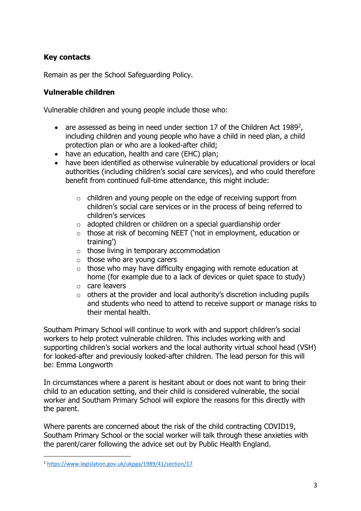## **Key contacts**

Remain as per the School Safeguarding Policy.

#### <span id="page-2-0"></span>**Vulnerable children**

Vulnerable children and young people include those who:

- are assessed as being in need under section 17 of the Children Act 1989<sup>2</sup>, including children and young people who have a child in need plan, a child protection plan or who are a looked-after child;
- have an education, health and care (EHC) plan;
- have been identified as otherwise vulnerable by educational providers or local authorities (including children's social care services), and who could therefore benefit from continued full-time attendance, this might include:
	- o children and young people on the edge of receiving support from children's social care services or in the process of being referred to children's services
	- $\circ$  adopted children or children on a special guardianship order
	- o those at risk of becoming NEET ('not in employment, education or training')
	- $\circ$  those living in temporary accommodation
	- $\circ$  those who are young carers
	- $\circ$  those who may have difficulty engaging with remote education at home (for example due to a lack of devices or quiet space to study)
	- o care leavers
	- $\circ$  others at the provider and local authority's discretion including pupils and students who need to attend to receive support or manage risks to their mental health.

Southam Primary School will continue to work with and support children's social workers to help protect vulnerable children. This includes working with and supporting children's social workers and the local authority virtual school head (VSH) for looked-after and previously looked-after children. The lead person for this will be: Emma Longworth

In circumstances where a parent is hesitant about or does not want to bring their child to an education setting, and their child is considered vulnerable, the social worker and Southam Primary School will explore the reasons for this directly with the parent.

Where parents are concerned about the risk of the child contracting COVID19, Southam Primary School or the social worker will talk through these anxieties with the parent/carer following the advice set out by Public Health England.

<sup>2</sup> <https://www.legislation.gov.uk/ukpga/1989/41/section/17>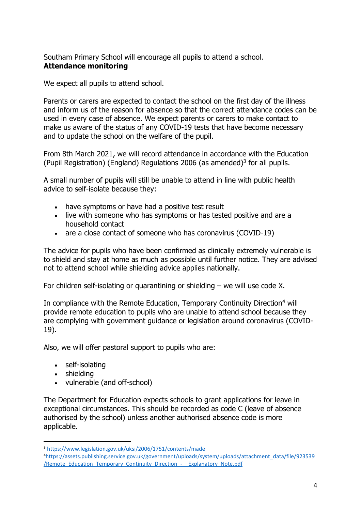<span id="page-3-0"></span>Southam Primary School will encourage all pupils to attend a school. **Attendance monitoring**

We expect all pupils to attend school.

Parents or carers are expected to contact the school on the first day of the illness and inform us of the reason for absence so that the correct attendance codes can be used in every case of absence. We expect parents or carers to make contact to make us aware of the status of any COVID-19 tests that have become necessary and to update the school on the welfare of the pupil.

From 8th March 2021, we will record attendance in accordance with the Education (Pupil Registration) (England) Regulations 2006 (as amended)<sup>3</sup> for all pupils.

A small number of pupils will still be unable to attend in line with public health advice to self-isolate because they:

- have symptoms or have had a positive test result
- live with someone who has symptoms or has tested positive and are a household contact
- are a close contact of someone who has coronavirus (COVID-19)

The advice for pupils who have been confirmed as clinically extremely vulnerable is to shield and stay at home as much as possible until further notice. They are advised not to attend school while shielding advice applies nationally.

For children self-isolating or quarantining or shielding – we will use code X.

In compliance with the Remote Education, Temporary Continuity Direction<sup>4</sup> will provide remote education to pupils who are unable to attend school because they are complying with government guidance or legislation around coronavirus (COVID-19).

Also, we will offer pastoral support to pupils who are:

- self-isolating
- shielding
- vulnerable (and off-school)

The Department for Education expects schools to grant applications for leave in exceptional circumstances. This should be recorded as code C (leave of absence authorised by the school) unless another authorised absence code is more applicable.

<sup>3</sup> <https://www.legislation.gov.uk/uksi/2006/1751/contents/made>

<sup>4</sup>[https://assets.publishing.service.gov.uk/government/uploads/system/uploads/attachment\\_data/file/923539](https://assets.publishing.service.gov.uk/government/uploads/system/uploads/attachment_data/file/923539/Remote_Education_Temporary_Continuity_Direction_-__Explanatory_Note.pdf) [/Remote\\_Education\\_Temporary\\_Continuity\\_Direction\\_-\\_\\_Explanatory\\_Note.pdf](https://assets.publishing.service.gov.uk/government/uploads/system/uploads/attachment_data/file/923539/Remote_Education_Temporary_Continuity_Direction_-__Explanatory_Note.pdf)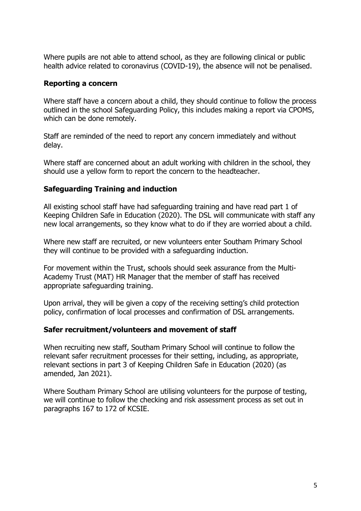Where pupils are not able to attend school, as they are following clinical or public health advice related to coronavirus (COVID-19), the absence will not be penalised.

#### <span id="page-4-0"></span>**Reporting a concern**

Where staff have a concern about a child, they should continue to follow the process outlined in the school Safeguarding Policy, this includes making a report via CPOMS, which can be done remotely.

Staff are reminded of the need to report any concern immediately and without delay.

Where staff are concerned about an adult working with children in the school, they should use a yellow form to report the concern to the headteacher.

#### <span id="page-4-1"></span>**Safeguarding Training and induction**

All existing school staff have had safeguarding training and have read part 1 of Keeping Children Safe in Education (2020). The DSL will communicate with staff any new local arrangements, so they know what to do if they are worried about a child.

Where new staff are recruited, or new volunteers enter Southam Primary School they will continue to be provided with a safeguarding induction.

For movement within the Trust, schools should seek assurance from the Multi-Academy Trust (MAT) HR Manager that the member of staff has received appropriate safeguarding training.

Upon arrival, they will be given a copy of the receiving setting's child protection policy, confirmation of local processes and confirmation of DSL arrangements.

#### <span id="page-4-2"></span>**Safer recruitment/volunteers and movement of staff**

When recruiting new staff, Southam Primary School will continue to follow the relevant safer recruitment processes for their setting, including, as appropriate, relevant sections in part 3 of Keeping Children Safe in Education (2020) (as amended, Jan 2021).

Where Southam Primary School are utilising volunteers for the purpose of testing, we will continue to follow the checking and risk assessment process as set out in paragraphs 167 to 172 of KCSIE.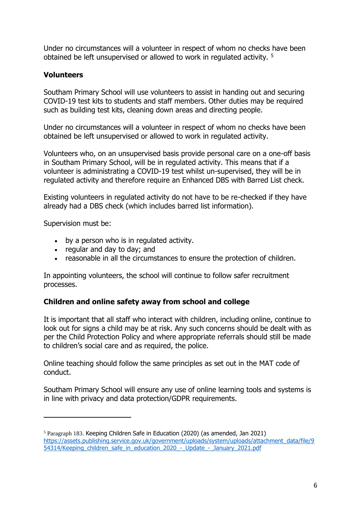Under no circumstances will a volunteer in respect of whom no checks have been obtained be left unsupervised or allowed to work in regulated activity. <sup>5</sup>

#### <span id="page-5-0"></span>**Volunteers**

Southam Primary School will use volunteers to assist in handing out and securing COVID-19 test kits to students and staff members. Other duties may be required such as building test kits, cleaning down areas and directing people.

Under no circumstances will a volunteer in respect of whom no checks have been obtained be left unsupervised or allowed to work in regulated activity.

Volunteers who, on an unsupervised basis provide personal care on a one-off basis in Southam Primary School, will be in regulated activity. This means that if a volunteer is administrating a COVID-19 test whilst un-supervised, they will be in regulated activity and therefore require an Enhanced DBS with Barred List check.

Existing volunteers in regulated activity do not have to be re-checked if they have already had a DBS check (which includes barred list information).

Supervision must be:

- by a person who is in regulated activity.
- regular and day to day; and
- reasonable in all the circumstances to ensure the protection of children.

In appointing volunteers, the school will continue to follow safer recruitment processes.

#### <span id="page-5-1"></span>**Children and online safety away from school and college**

It is important that all staff who interact with children, including online, continue to look out for signs a child may be at risk. Any such concerns should be dealt with as per the Child Protection Policy and where appropriate referrals should still be made to children's social care and as required, the police.

Online teaching should follow the same principles as set out in the MAT code of conduct.

Southam Primary School will ensure any use of online learning tools and systems is in line with privacy and data protection/GDPR requirements.

<sup>5</sup> Paragraph 183. Keeping Children Safe in Education (2020) (as amended, Jan 2021) [https://assets.publishing.service.gov.uk/government/uploads/system/uploads/attachment\\_data/file/9](https://assets.publishing.service.gov.uk/government/uploads/system/uploads/attachment_data/file/954314/Keeping_children_safe_in_education_2020_-_Update_-_January_2021.pdf) [54314/Keeping\\_children\\_safe\\_in\\_education\\_2020\\_-\\_Update\\_-\\_January\\_2021.pdf](https://assets.publishing.service.gov.uk/government/uploads/system/uploads/attachment_data/file/954314/Keeping_children_safe_in_education_2020_-_Update_-_January_2021.pdf)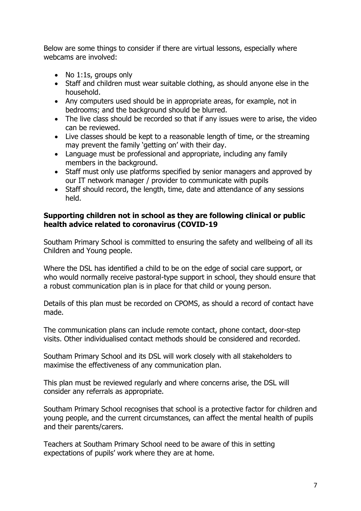Below are some things to consider if there are virtual lessons, especially where webcams are involved:

- No 1:1s, groups only
- Staff and children must wear suitable clothing, as should anyone else in the household.
- Any computers used should be in appropriate areas, for example, not in bedrooms; and the background should be blurred.
- The live class should be recorded so that if any issues were to arise, the video can be reviewed.
- Live classes should be kept to a reasonable length of time, or the streaming may prevent the family 'getting on' with their day.
- Language must be professional and appropriate, including any family members in the background.
- Staff must only use platforms specified by senior managers and approved by our IT network manager / provider to communicate with pupils
- Staff should record, the length, time, date and attendance of any sessions held.

#### <span id="page-6-0"></span>**Supporting children not in school as they are following clinical or public health advice related to coronavirus (COVID-19**

Southam Primary School is committed to ensuring the safety and wellbeing of all its Children and Young people.

Where the DSL has identified a child to be on the edge of social care support, or who would normally receive pastoral-type support in school, they should ensure that a robust communication plan is in place for that child or young person.

Details of this plan must be recorded on CPOMS, as should a record of contact have made.

The communication plans can include remote contact, phone contact, door-step visits. Other individualised contact methods should be considered and recorded.

Southam Primary School and its DSL will work closely with all stakeholders to maximise the effectiveness of any communication plan.

This plan must be reviewed regularly and where concerns arise, the DSL will consider any referrals as appropriate.

Southam Primary School recognises that school is a protective factor for children and young people, and the current circumstances, can affect the mental health of pupils and their parents/carers.

Teachers at Southam Primary School need to be aware of this in setting expectations of pupils' work where they are at home.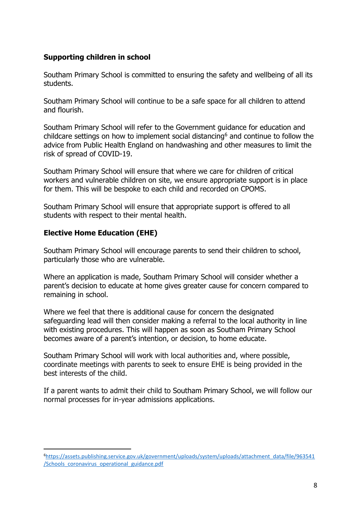## <span id="page-7-0"></span>**Supporting children in school**

Southam Primary School is committed to ensuring the safety and wellbeing of all its students.

Southam Primary School will continue to be a safe space for all children to attend and flourish.

Southam Primary School will refer to the Government guidance for education and childcare settings on how to implement social distancing<sup>6</sup> and continue to follow the advice from Public Health England on handwashing and other measures to limit the risk of spread of COVID-19.

Southam Primary School will ensure that where we care for children of critical workers and vulnerable children on site, we ensure appropriate support is in place for them. This will be bespoke to each child and recorded on CPOMS.

Southam Primary School will ensure that appropriate support is offered to all students with respect to their mental health.

## <span id="page-7-1"></span>**Elective Home Education (EHE)**

Southam Primary School will encourage parents to send their children to school, particularly those who are vulnerable.

Where an application is made, Southam Primary School will consider whether a parent's decision to educate at home gives greater cause for concern compared to remaining in school.

Where we feel that there is additional cause for concern the designated safeguarding lead will then consider making a referral to the local authority in line with existing procedures. This will happen as soon as Southam Primary School becomes aware of a parent's intention, or decision, to home educate.

Southam Primary School will work with local authorities and, where possible, coordinate meetings with parents to seek to ensure EHE is being provided in the best interests of the child.

If a parent wants to admit their child to Southam Primary School, we will follow our normal processes for in-year admissions applications.

<sup>6</sup>[https://assets.publishing.service.gov.uk/government/uploads/system/uploads/attachment\\_data/file/963541](https://assets.publishing.service.gov.uk/government/uploads/system/uploads/attachment_data/file/963541/Schools_coronavirus_operational_guidance.pdf) [/Schools\\_coronavirus\\_operational\\_guidance.pdf](https://assets.publishing.service.gov.uk/government/uploads/system/uploads/attachment_data/file/963541/Schools_coronavirus_operational_guidance.pdf)